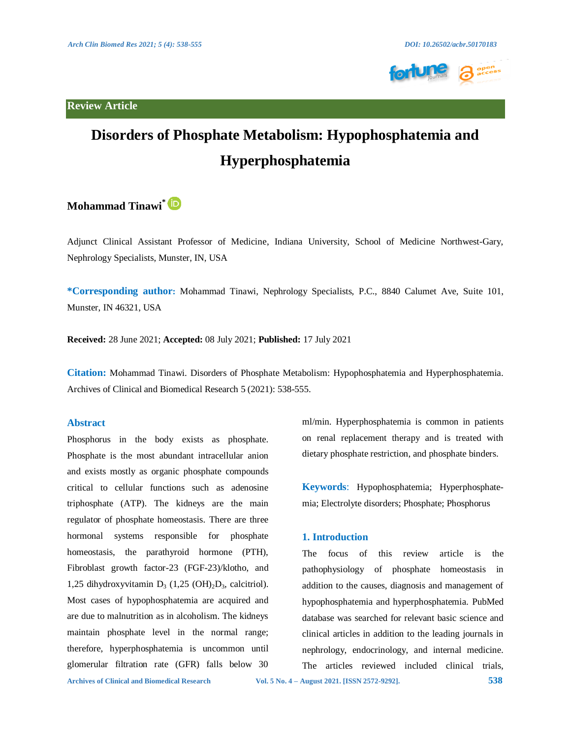**Review Article**





# **Disorders of Phosphate Metabolism: Hypophosphatemia and Hyperphosphatemia**

## **Mohammad Tinawi\***

Adjunct Clinical Assistant Professor of Medicine, Indiana University, School of Medicine Northwest-Gary, Nephrology Specialists, Munster, IN, USA

**\*Corresponding author:** Mohammad Tinawi, Nephrology Specialists, P.C., 8840 Calumet Ave, Suite 101, Munster, IN 46321, USA

**Received:** 28 June 2021; **Accepted:** 08 July 2021; **Published:** 17 July 2021

**Citation:** Mohammad Tinawi. Disorders of Phosphate Metabolism: Hypophosphatemia and Hyperphosphatemia. Archives of Clinical and Biomedical Research 5 (2021): 538-555.

#### **Abstract**

Phosphorus in the body exists as phosphate. Phosphate is the most abundant intracellular anion and exists mostly as organic phosphate compounds critical to cellular functions such as adenosine triphosphate (ATP). The kidneys are the main regulator of phosphate homeostasis. There are three hormonal systems responsible for phosphate homeostasis, the parathyroid hormone (PTH), Fibroblast growth factor-23 (FGF-23)/klotho, and 1,25 dihydroxyvitamin  $D_3$  (1,25 (OH)<sub>2</sub> $D_3$ , calcitriol). Most cases of hypophosphatemia are acquired and are due to malnutrition as in alcoholism. The kidneys maintain phosphate level in the normal range; therefore, hyperphosphatemia is uncommon until glomerular filtration rate (GFR) falls below 30

ml/min. Hyperphosphatemia is common in patients on renal replacement therapy and is treated with dietary phosphate restriction, and phosphate binders.

**Keywords**: Hypophosphatemia; Hyperphosphatemia; Electrolyte disorders; Phosphate; Phosphorus

#### **1. Introduction**

The focus of this review article is the pathophysiology of phosphate homeostasis in addition to the causes, diagnosis and management of hypophosphatemia and hyperphosphatemia. PubMed database was searched for relevant basic science and clinical articles in addition to the leading journals in nephrology, endocrinology, and internal medicine. The articles reviewed included clinical trials,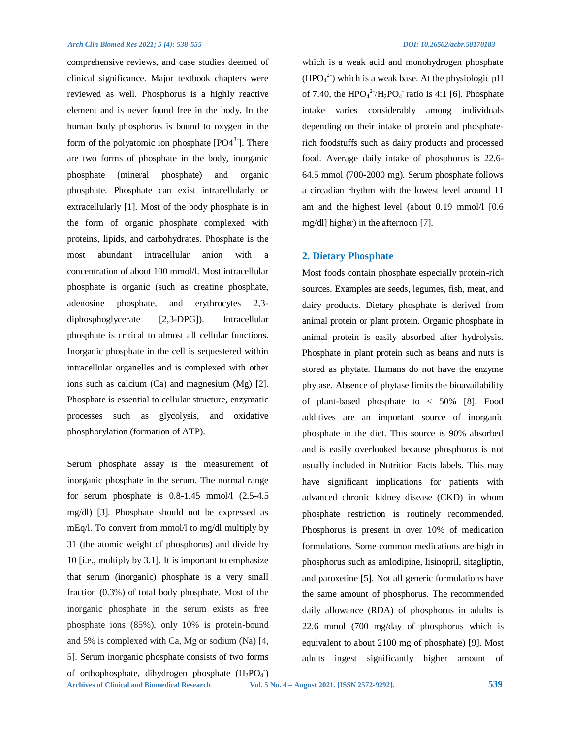comprehensive reviews, and case studies deemed of clinical significance. Major textbook chapters were reviewed as well. Phosphorus is a highly reactive element and is never found free in the body. In the human body phosphorus is bound to oxygen in the form of the polyatomic ion phosphate  $[PO4<sup>3</sup>$ ]. There are two forms of phosphate in the body, inorganic phosphate (mineral phosphate) and organic phosphate. Phosphate can exist intracellularly or extracellularly [1]. Most of the body phosphate is in the form of organic phosphate complexed with proteins, lipids, and carbohydrates. Phosphate is the most abundant intracellular anion with a concentration of about 100 mmol/l. Most intracellular phosphate is organic (such as creatine phosphate, adenosine phosphate, and erythrocytes 2,3 diphosphoglycerate [2,3-DPG]). Intracellular phosphate is critical to almost all cellular functions. Inorganic phosphate in the cell is sequestered within intracellular organelles and is complexed with other ions such as calcium (Ca) and magnesium (Mg) [2]. Phosphate is essential to cellular structure, enzymatic processes such as glycolysis, and oxidative phosphorylation (formation of ATP).

**Archives of Clinical and Biomedical Research Vol. 5 No. 4 – August 2021. [ISSN 2572-9292]. 539** Serum phosphate assay is the measurement of inorganic phosphate in the serum. The normal range for serum phosphate is 0.8-1.45 mmol/l (2.5-4.5 mg/dl) [3]. Phosphate should not be expressed as mEq/l. To convert from mmol/l to mg/dl multiply by 31 (the atomic weight of phosphorus) and divide by 10 [i.e., multiply by 3.1]. It is important to emphasize that serum (inorganic) phosphate is a very small fraction (0.3%) of total body phosphate. Most of the inorganic phosphate in the serum exists as free phosphate ions (85%), only 10% is protein-bound and 5% is complexed with Ca, Mg or sodium (Na) [4, 5]. Serum inorganic phosphate consists of two forms of orthophosphate, dihydrogen phosphate  $(H_2PO_4^-)$ 

which is a weak acid and monohydrogen phosphate  $(HPO<sub>4</sub><sup>2</sup>)$  which is a weak base. At the physiologic pH of 7.40, the  $HPO<sub>4</sub><sup>2</sup>/H<sub>2</sub>PO<sub>4</sub>$  ratio is 4:1 [6]. Phosphate intake varies considerably among individuals depending on their intake of protein and phosphaterich foodstuffs such as dairy products and processed food. Average daily intake of phosphorus is 22.6- 64.5 mmol (700-2000 mg). Serum phosphate follows a circadian rhythm with the lowest level around 11 am and the highest level (about 0.19 mmol/l [0.6 mg/dl] higher) in the afternoon [7].

#### **2. Dietary Phosphate**

Most foods contain phosphate especially protein-rich sources. Examples are seeds, legumes, fish, meat, and dairy products. Dietary phosphate is derived from animal protein or plant protein. Organic phosphate in animal protein is easily absorbed after hydrolysis. Phosphate in plant protein such as beans and nuts is stored as phytate. Humans do not have the enzyme phytase. Absence of phytase limits the bioavailability of plant-based phosphate to < 50% [8]. Food additives are an important source of inorganic phosphate in the diet. This source is 90% absorbed and is easily overlooked because phosphorus is not usually included in Nutrition Facts labels. This may have significant implications for patients with advanced chronic kidney disease (CKD) in whom phosphate restriction is routinely recommended. Phosphorus is present in over 10% of medication formulations. Some common medications are high in phosphorus such as amlodipine, lisinopril, sitagliptin, and paroxetine [5]. Not all generic formulations have the same amount of phosphorus. The recommended daily allowance (RDA) of phosphorus in adults is 22.6 mmol (700 mg/day of phosphorus which is equivalent to about 2100 mg of phosphate) [9]. Most adults ingest significantly higher amount of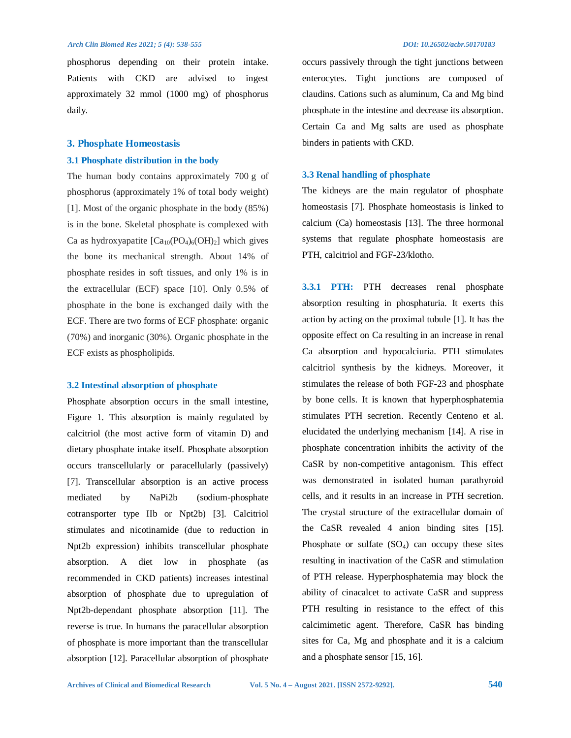phosphorus depending on their protein intake. Patients with CKD are advised to ingest approximately 32 mmol (1000 mg) of phosphorus daily.

#### **3. Phosphate Homeostasis**

#### **3.1 Phosphate distribution in the body**

The human body contains approximately 700 g of phosphorus (approximately 1% of total body weight) [1]. Most of the organic phosphate in the body (85%) is in the bone. Skeletal phosphate is complexed with Ca as hydroxyapatite  $[Ca_{10}(PO_4)_6(OH)_2]$  which gives the bone its mechanical strength. About 14% of phosphate resides in soft tissues, and only 1% is in the extracellular (ECF) space [10]. Only 0.5% of phosphate in the bone is exchanged daily with the ECF. There are two forms of ECF phosphate: organic (70%) and inorganic (30%). Organic phosphate in the ECF exists as phospholipids.

#### **3.2 Intestinal absorption of phosphate**

Phosphate absorption occurs in the small intestine, Figure 1. This absorption is mainly regulated by calcitriol (the most active form of vitamin D) and dietary phosphate intake itself. Phosphate absorption occurs transcellularly or paracellularly (passively) [7]. Transcellular absorption is an active process mediated by NaPi2b (sodium-phosphate cotransporter type IIb or Npt2b) [3]. Calcitriol stimulates and nicotinamide (due to reduction in Npt2b expression) inhibits transcellular phosphate absorption. A diet low in phosphate (as recommended in CKD patients) increases intestinal absorption of phosphate due to upregulation of Npt2b-dependant phosphate absorption [11]. The reverse is true. In humans the paracellular absorption of phosphate is more important than the transcellular absorption [12]. Paracellular absorption of phosphate occurs passively through the tight junctions between enterocytes. Tight junctions are composed of claudins. Cations such as aluminum, Ca and Mg bind phosphate in the intestine and decrease its absorption. Certain Ca and Mg salts are used as phosphate binders in patients with CKD.

#### **3.3 Renal handling of phosphate**

The kidneys are the main regulator of phosphate homeostasis [7]. Phosphate homeostasis is linked to calcium (Ca) homeostasis [13]. The three hormonal systems that regulate phosphate homeostasis are PTH, calcitriol and FGF-23/klotho.

**3.3.1 PTH:** PTH decreases renal phosphate absorption resulting in phosphaturia. It exerts this action by acting on the proximal tubule [1]. It has the opposite effect on Ca resulting in an increase in renal Ca absorption and hypocalciuria. PTH stimulates calcitriol synthesis by the kidneys. Moreover, it stimulates the release of both FGF-23 and phosphate by bone cells. It is known that hyperphosphatemia stimulates PTH secretion. Recently Centeno et al. elucidated the underlying mechanism [14]. A rise in phosphate concentration inhibits the activity of the CaSR by non-competitive antagonism. This effect was demonstrated in isolated human parathyroid cells, and it results in an increase in PTH secretion. The crystal structure of the extracellular domain of the CaSR revealed 4 anion binding sites [15]. Phosphate or sulfate  $(SO<sub>4</sub>)$  can occupy these sites resulting in inactivation of the CaSR and stimulation of PTH release. Hyperphosphatemia may block the ability of cinacalcet to activate CaSR and suppress PTH resulting in resistance to the effect of this calcimimetic agent. Therefore, CaSR has binding sites for Ca, Mg and phosphate and it is a calcium and a phosphate sensor [15, 16].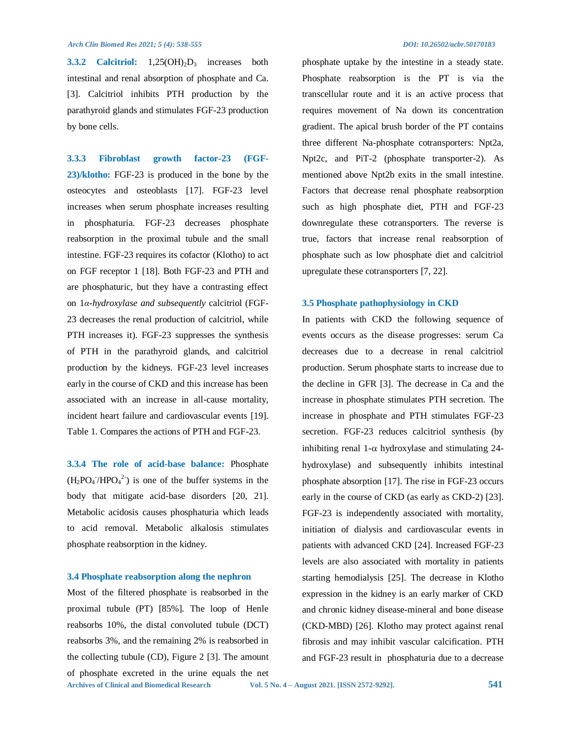**3.3.2 Calcitriol:** 1,25(OH)<sub>2</sub>D<sub>3</sub> increases both intestinal and renal absorption of phosphate and Ca. [3]. Calcitriol inhibits PTH production by the parathyroid glands and stimulates FGF-23 production by bone cells.

**3.3.3 Fibroblast growth factor-23 (FGF-23)/klotho:** FGF-23 is produced in the bone by the osteocytes and osteoblasts [17]. FGF-23 level increases when serum phosphate increases resulting in phosphaturia. FGF-23 decreases phosphate reabsorption in the proximal tubule and the small intestine. FGF-23 requires its cofactor (Klotho) to act on FGF receptor 1 [18]. Both FGF-23 and PTH and are phosphaturic, but they have a contrasting effect on 1*α-hydroxylase and subsequently* calcitriol (FGF-23 decreases the renal production of calcitriol, while PTH increases it). FGF-23 suppresses the synthesis of PTH in the parathyroid glands, and calcitriol production by the kidneys. FGF-23 level increases early in the course of CKD and this increase has been associated with an increase in all-cause mortality, incident heart failure and cardiovascular events [19]. Table 1. Compares the actions of PTH and FGF-23.

**3.3.4 The role of acid-base balance:** Phosphate  $(H_2PO_4/HPO_4^2)$  is one of the buffer systems in the body that mitigate acid-base disorders [20, 21]. Metabolic acidosis causes phosphaturia which leads to acid removal. Metabolic alkalosis stimulates phosphate reabsorption in the kidney.

#### **3.4 Phosphate reabsorption along the nephron**

**Archives of Clinical and Biomedical Research Vol. 5 No. 4 – August 2021. [ISSN 2572-9292]. 541** Most of the filtered phosphate is reabsorbed in the proximal tubule (PT) [85%]. The loop of Henle reabsorbs 10%, the distal convoluted tubule (DCT) reabsorbs 3%, and the remaining 2% is reabsorbed in the collecting tubule (CD), Figure 2 [3]. The amount of phosphate excreted in the urine equals the net

phosphate uptake by the intestine in a steady state. Phosphate reabsorption is the PT is via the transcellular route and it is an active process that requires movement of Na down its concentration gradient. The apical brush border of the PT contains three different Na-phosphate cotransporters: Npt2a, Npt2c, and PiT-2 (phosphate transporter-2). As mentioned above Npt2b exits in the small intestine. Factors that decrease renal phosphate reabsorption such as high phosphate diet, PTH and FGF-23 downregulate these cotransporters. The reverse is true, factors that increase renal reabsorption of phosphate such as low phosphate diet and calcitriol upregulate these cotransporters [7, 22].

#### **3.5 Phosphate pathophysiology in CKD**

In patients with CKD the following sequence of events occurs as the disease progresses: serum Ca decreases due to a decrease in renal calcitriol production. Serum phosphate starts to increase due to the decline in GFR [3]. The decrease in Ca and the increase in phosphate stimulates PTH secretion. The increase in phosphate and PTH stimulates FGF-23 secretion. FGF-23 reduces calcitriol synthesis (by inhibiting renal 1- $\alpha$  hydroxylase and stimulating 24hydroxylase) and subsequently inhibits intestinal phosphate absorption [17]. The rise in FGF-23 occurs early in the course of CKD (as early as CKD-2) [23]. FGF-23 is independently associated with mortality, initiation of dialysis and cardiovascular events in patients with advanced CKD [24]. Increased FGF-23 levels are also associated with mortality in patients starting hemodialysis [25]. The decrease in Klotho expression in the kidney is an early marker of CKD and chronic kidney disease-mineral and bone disease (CKD-MBD) [26]. Klotho may protect against renal fibrosis and may inhibit vascular calcification. PTH and FGF-23 result in phosphaturia due to a decrease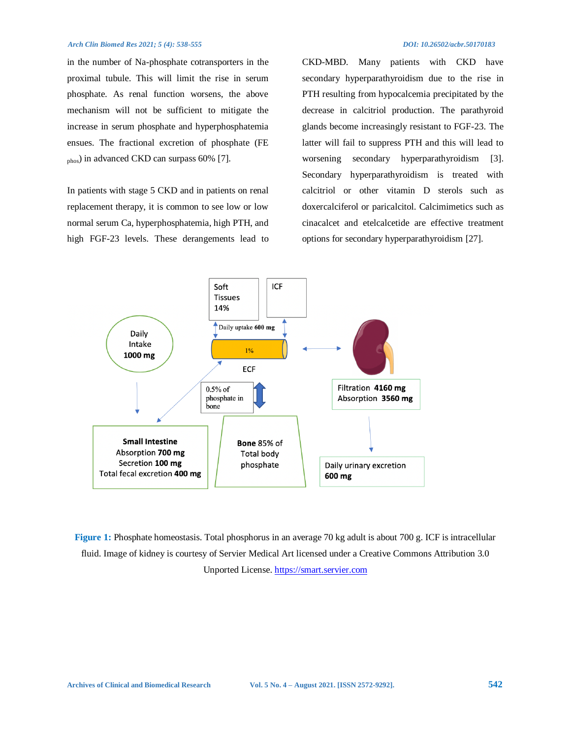in the number of Na-phosphate cotransporters in the proximal tubule. This will limit the rise in serum phosphate. As renal function worsens, the above mechanism will not be sufficient to mitigate the increase in serum phosphate and hyperphosphatemia ensues. The fractional excretion of phosphate (FE phos) in advanced CKD can surpass 60% [7].

In patients with stage 5 CKD and in patients on renal replacement therapy, it is common to see low or low normal serum Ca, hyperphosphatemia, high PTH, and high FGF-23 levels. These derangements lead to

CKD-MBD. Many patients with CKD have secondary hyperparathyroidism due to the rise in PTH resulting from hypocalcemia precipitated by the decrease in calcitriol production. The parathyroid glands become increasingly resistant to FGF-23. The latter will fail to suppress PTH and this will lead to worsening secondary hyperparathyroidism [3]. Secondary hyperparathyroidism is treated with calcitriol or other vitamin D sterols such as doxercalciferol or paricalcitol. Calcimimetics such as cinacalcet and etelcalcetide are effective treatment options for secondary hyperparathyroidism [27].



**Figure 1:** Phosphate homeostasis. Total phosphorus in an average 70 kg adult is about 700 g. ICF is intracellular fluid. Image of kidney is courtesy of Servier Medical Art licensed under a Creative Commons Attribution 3.0 Unported License[. https://smart.servier.com](https://smart.servier.com/)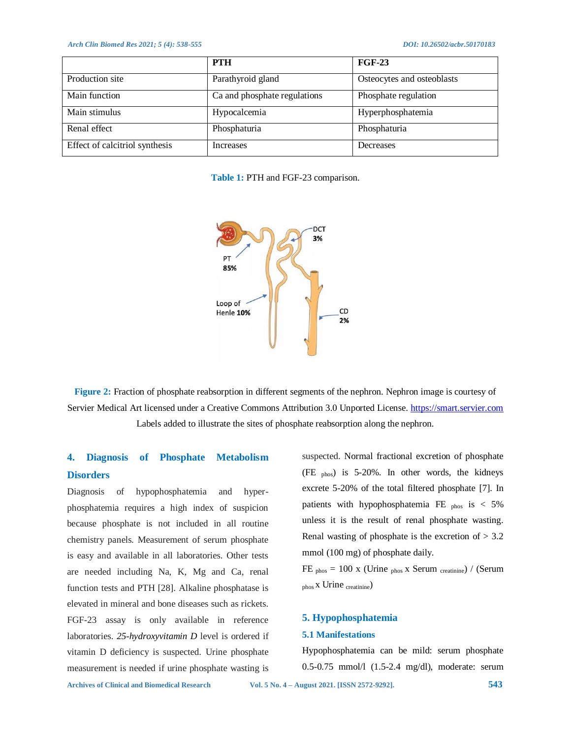|                                | <b>PTH</b>                   | <b>FGF-23</b>              |
|--------------------------------|------------------------------|----------------------------|
| Production site                | Parathyroid gland            | Osteocytes and osteoblasts |
| Main function                  | Ca and phosphate regulations | Phosphate regulation       |
| Main stimulus                  | Hypocalcemia                 | Hyperphosphatemia          |
| Renal effect                   | Phosphaturia                 | Phosphaturia               |
| Effect of calcitriol synthesis | Increases                    | Decreases                  |

**Table 1:** PTH and FGF-23 comparison.



**Figure 2:** Fraction of phosphate reabsorption in different segments of the nephron. Nephron image is courtesy of Servier Medical Art licensed under a Creative Commons Attribution 3.0 Unported License. [https://smart.servier.com](https://smart.servier.com/) Labels added to illustrate the sites of phosphate reabsorption along the nephron.

## **4. Diagnosis of Phosphate Metabolism Disorders**

Diagnosis of hypophosphatemia and hyperphosphatemia requires a high index of suspicion because phosphate is not included in all routine chemistry panels. Measurement of serum phosphate is easy and available in all laboratories. Other tests are needed including Na, K, Mg and Ca, renal function tests and PTH [28]. Alkaline phosphatase is elevated in mineral and bone diseases such as rickets. FGF-23 assay is only available in reference laboratories. *25-hydroxyvitamin D* level is ordered if vitamin D deficiency is suspected. Urine phosphate measurement is needed if urine phosphate wasting is

suspected. Normal fractional excretion of phosphate (FE phos) is 5-20%. In other words, the kidneys excrete 5-20% of the total filtered phosphate [7]. In patients with hypophosphatemia FE  $_{\text{phos}}$  is < 5% unless it is the result of renal phosphate wasting. Renal wasting of phosphate is the excretion of  $> 3.2$ mmol (100 mg) of phosphate daily.

FE  $_{\text{phos}}$  = 100 x (Urine  $_{\text{phos}}$  x Serum  $_{\text{creation}}$ ) / (Serum  $_{\text{phos}}$  x Urine  $_{\text{creatment}})$ 

#### **5. Hypophosphatemia**

#### **5.1 Manifestations**

Hypophosphatemia can be mild: serum phosphate 0.5-0.75 mmol/l (1.5-2.4 mg/dl), moderate: serum

**Archives of Clinical and Biomedical Research Vol. 5 No. 4 – August 2021. [ISSN 2572-9292]. 543**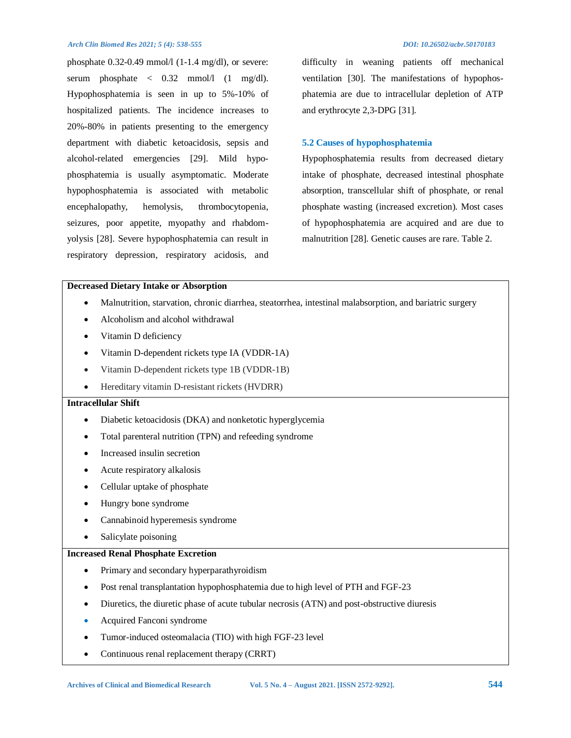phosphate 0.32-0.49 mmol/l (1-1.4 mg/dl), or severe: serum phosphate  $\langle 0.32 \text{ mmol/l} (1 \text{ mg/dl}).$ Hypophosphatemia is seen in up to 5%-10% of hospitalized patients. The incidence increases to 20%-80% in patients presenting to the emergency department with diabetic ketoacidosis, sepsis and alcohol-related emergencies [29]. Mild hypophosphatemia is usually asymptomatic. Moderate hypophosphatemia is associated with metabolic encephalopathy, hemolysis, thrombocytopenia, seizures, poor appetite, myopathy and rhabdomyolysis [28]. Severe hypophosphatemia can result in respiratory depression, respiratory acidosis, and

difficulty in weaning patients off mechanical ventilation [30]. The manifestations of hypophosphatemia are due to intracellular depletion of ATP and erythrocyte 2,3-DPG [31].

### **5.2 Causes of hypophosphatemia**

Hypophosphatemia results from decreased dietary intake of phosphate, decreased intestinal phosphate absorption, transcellular shift of phosphate, or renal phosphate wasting (increased excretion). Most cases of hypophosphatemia are acquired and are due to malnutrition [28]. Genetic causes are rare. Table 2.

#### **Decreased Dietary Intake or Absorption**

- Malnutrition, starvation, chronic diarrhea, steatorrhea, intestinal malabsorption, and bariatric surgery
- Alcoholism and alcohol withdrawal
- Vitamin D deficiency
- Vitamin D-dependent rickets type IA (VDDR-1A)
- Vitamin D-dependent rickets type 1B (VDDR-1B)
- Hereditary vitamin D-resistant rickets (HVDRR)

### **Intracellular Shift**

- Diabetic ketoacidosis (DKA) and nonketotic hyperglycemia
- Total parenteral nutrition (TPN) and refeeding syndrome
- Increased insulin secretion
- Acute respiratory alkalosis
- Cellular uptake of phosphate
- Hungry bone syndrome
- Cannabinoid hyperemesis syndrome
- Salicylate poisoning

#### **Increased Renal Phosphate Excretion**

- Primary and secondary hyperparathyroidism
- Post renal transplantation hypophosphatemia due to high level of PTH and FGF-23
- Diuretics, the diuretic phase of acute tubular necrosis (ATN) and post-obstructive diuresis
- Acquired Fanconi syndrome
- Tumor-induced osteomalacia (TIO) with high FGF-23 level
- Continuous renal replacement therapy (CRRT)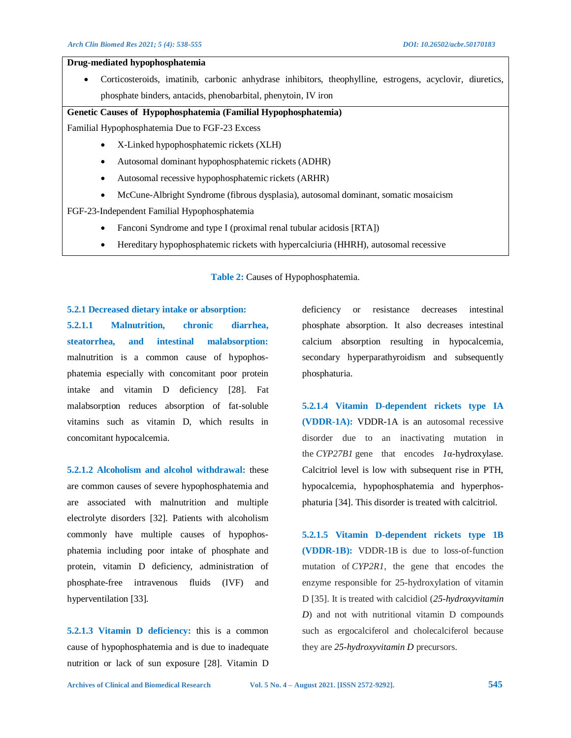#### **Drug-mediated hypophosphatemia**

 Corticosteroids, imatinib, carbonic anhydrase inhibitors, theophylline, estrogens, acyclovir, diuretics, phosphate binders, antacids, phenobarbital, phenytoin, IV iron

#### **Genetic Causes of Hypophosphatemia (Familial Hypophosphatemia)**

Familial Hypophosphatemia Due to FGF-23 Excess

- X-Linked hypophosphatemic rickets (XLH)
- Autosomal dominant hypophosphatemic rickets (ADHR)
- Autosomal recessive hypophosphatemic rickets (ARHR)
- McCune-Albright Syndrome (fibrous dysplasia), autosomal dominant, somatic mosaicism

FGF-23-Independent Familial Hypophosphatemia

- Fanconi Syndrome and type I (proximal renal tubular acidosis [RTA])
- Hereditary hypophosphatemic rickets with hypercalciuria (HHRH), autosomal recessive

**Table 2:** Causes of Hypophosphatemia.

#### **5.2.1 Decreased dietary intake or absorption:**

**5.2.1.1 Malnutrition, chronic diarrhea, steatorrhea, and intestinal malabsorption:**  malnutrition is a common cause of hypophosphatemia especially with concomitant poor protein intake and vitamin D deficiency [28]. Fat malabsorption reduces absorption of fat-soluble vitamins such as vitamin D, which results in concomitant hypocalcemia.

**5.2.1.2 Alcoholism and alcohol withdrawal:** these are common causes of severe hypophosphatemia and are associated with malnutrition and multiple electrolyte disorders [32]. Patients with alcoholism commonly have multiple causes of hypophosphatemia including poor intake of phosphate and protein, vitamin D deficiency, administration of phosphate-free intravenous fluids (IVF) and hyperventilation [33].

**5.2.1.3 Vitamin D deficiency:** this is a common cause of hypophosphatemia and is due to inadequate nutrition or lack of sun exposure [28]. Vitamin D deficiency or resistance decreases intestinal phosphate absorption. It also decreases intestinal calcium absorption resulting in hypocalcemia, secondary hyperparathyroidism and subsequently phosphaturia.

**5.2.1.4 Vitamin D-dependent rickets type IA (VDDR-1A):** VDDR-1A is an autosomal recessive disorder due to an inactivating mutation in the *CYP27B1* gene that encodes *1*α-hydroxylase. Calcitriol level is low with subsequent rise in PTH, hypocalcemia, hypophosphatemia and hyperphosphaturia [34]. This disorder is treated with calcitriol.

**5.2.1.5 Vitamin D-dependent rickets type 1B (VDDR-1B):** VDDR-1B is due to loss-of-function mutation of *CYP2R1*, the gene that encodes the enzyme responsible for 25-hydroxylation of vitamin D [35]. It is treated with calcidiol (*25-hydroxyvitamin D*) and not with nutritional vitamin D compounds such as ergocalciferol and cholecalciferol because they are *25-hydroxyvitamin D* precursors.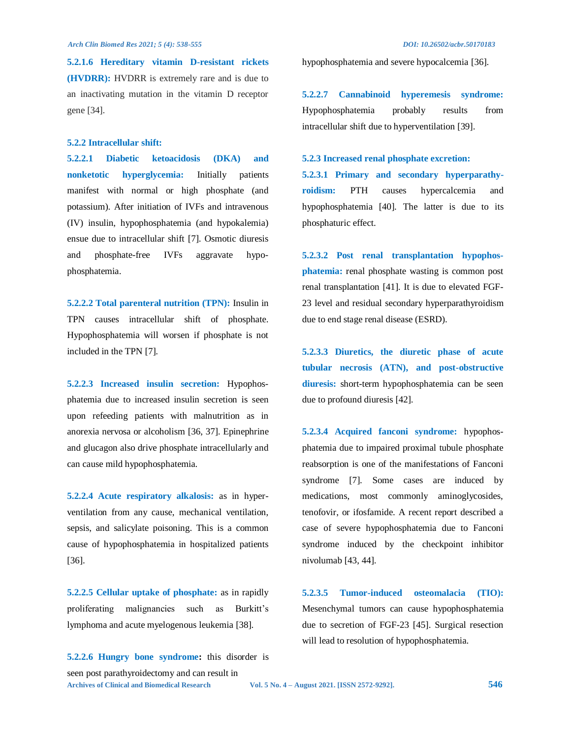**5.2.1.6 Hereditary vitamin D-resistant rickets (HVDRR):** HVDRR is extremely rare and is due to an inactivating mutation in the vitamin D receptor gene [34].

#### **5.2.2 Intracellular shift:**

**5.2.2.1 Diabetic ketoacidosis (DKA) and nonketotic hyperglycemia:** Initially patients manifest with normal or high phosphate (and potassium). After initiation of IVFs and intravenous (IV) insulin, hypophosphatemia (and hypokalemia) ensue due to intracellular shift [7]. Osmotic diuresis and phosphate-free IVFs aggravate hypophosphatemia.

**5.2.2.2 Total parenteral nutrition (TPN):** Insulin in TPN causes intracellular shift of phosphate. Hypophosphatemia will worsen if phosphate is not included in the TPN [7].

**5.2.2.3 Increased insulin secretion:** Hypophosphatemia due to increased insulin secretion is seen upon refeeding patients with malnutrition as in anorexia nervosa or alcoholism [36, 37]. Epinephrine and glucagon also drive phosphate intracellularly and can cause mild hypophosphatemia.

**5.2.2.4 Acute respiratory alkalosis:** as in hyperventilation from any cause, mechanical ventilation, sepsis, and salicylate poisoning. This is a common cause of hypophosphatemia in hospitalized patients [36].

**5.2.2.5 Cellular uptake of phosphate:** as in rapidly proliferating malignancies such as Burkitt's lymphoma and acute myelogenous leukemia [38].

**Archives of Clinical and Biomedical Research Vol. 5 No. 4 – August 2021. [ISSN 2572-9292]. 546 5.2.2.6 Hungry bone syndrome:** this disorder is seen post parathyroidectomy and can result in

hypophosphatemia and severe hypocalcemia [36].

**5.2.2.7 Cannabinoid hyperemesis syndrome:**  Hypophosphatemia probably results from intracellular shift due to hyperventilation [39].

#### **5.2.3 Increased renal phosphate excretion:**

**5.2.3.1 Primary and secondary hyperparathyroidism:** PTH causes hypercalcemia and hypophosphatemia [40]. The latter is due to its phosphaturic effect.

**5.2.3.2 Post renal transplantation hypophosphatemia:** renal phosphate wasting is common post renal transplantation [41]. It is due to elevated FGF-23 level and residual secondary hyperparathyroidism due to end stage renal disease (ESRD).

**5.2.3.3 Diuretics, the diuretic phase of acute tubular necrosis (ATN), and post-obstructive diuresis:** short-term hypophosphatemia can be seen due to profound diuresis [42].

**5.2.3.4 Acquired fanconi syndrome:** hypophosphatemia due to impaired proximal tubule phosphate reabsorption is one of the manifestations of Fanconi syndrome [7]. Some cases are induced by medications, most commonly aminoglycosides, tenofovir, or ifosfamide. A recent report described a case of severe hypophosphatemia due to Fanconi syndrome induced by the checkpoint inhibitor nivolumab [43, 44].

**5.2.3.5 Tumor-induced osteomalacia (TIO):**  Mesenchymal tumors can cause hypophosphatemia due to secretion of FGF-23 [45]. Surgical resection will lead to resolution of hypophosphatemia.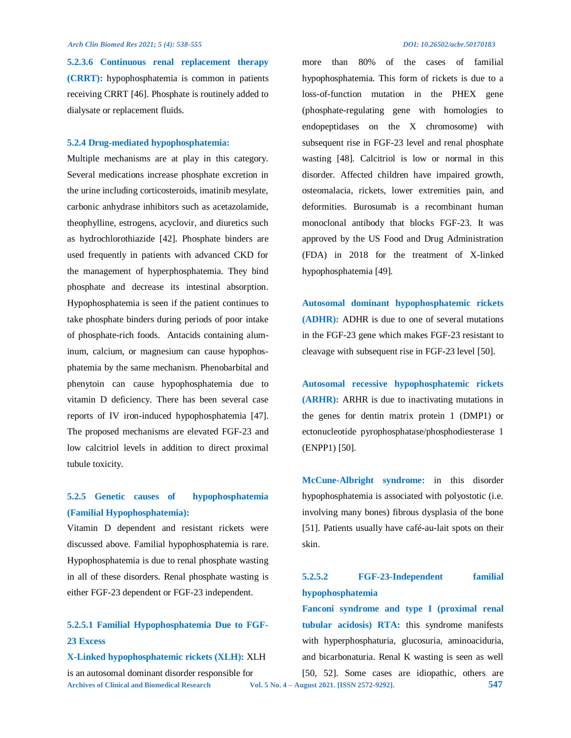**5.2.3.6 Continuous renal replacement therapy (CRRT):** hypophosphatemia is common in patients receiving CRRT [46]. Phosphate is routinely added to dialysate or replacement fluids.

#### **5.2.4 Drug-mediated hypophosphatemia:**

Multiple mechanisms are at play in this category. Several medications increase phosphate excretion in the urine including corticosteroids, imatinib mesylate, carbonic anhydrase inhibitors such as acetazolamide, theophylline, estrogens, acyclovir, and diuretics such as hydrochlorothiazide [42]. Phosphate binders are used frequently in patients with advanced CKD for the management of hyperphosphatemia. They bind phosphate and decrease its intestinal absorption. Hypophosphatemia is seen if the patient continues to take phosphate binders during periods of poor intake of phosphate-rich foods. Antacids containing aluminum, calcium, or magnesium can cause hypophosphatemia by the same mechanism. Phenobarbital and phenytoin can cause hypophosphatemia due to vitamin D deficiency. There has been several case reports of IV iron-induced hypophosphatemia [47]. The proposed mechanisms are elevated FGF-23 and low calcitriol levels in addition to direct proximal tubule toxicity.

## **5.2.5 Genetic causes of hypophosphatemia (Familial Hypophosphatemia):**

Vitamin D dependent and resistant rickets were discussed above. Familial hypophosphatemia is rare. Hypophosphatemia is due to renal phosphate wasting in all of these disorders. Renal phosphate wasting is either FGF-23 dependent or FGF-23 independent.

## **5.2.5.1 Familial Hypophosphatemia Due to FGF-23 Excess**

**X-Linked hypophosphatemic rickets (XLH):** XLH

is an autosomal dominant disorder responsible for

more than 80% of the cases of familial hypophosphatemia. This form of rickets is due to a loss-of-function mutation in the PHEX gene (phosphate-regulating gene with homologies to endopeptidases on the X chromosome) with subsequent rise in FGF-23 level and renal phosphate wasting [48]. Calcitriol is low or normal in this disorder. Affected children have impaired growth, osteomalacia, rickets, lower extremities pain, and deformities. Burosumab is a recombinant human monoclonal antibody that blocks FGF-23. It was approved by the US Food and Drug Administration (FDA) in 2018 for the treatment of X-linked hypophosphatemia [49].

**Autosomal dominant hypophosphatemic rickets (ADHR):** ADHR is due to one of several mutations in the FGF-23 gene which makes FGF-23 resistant to cleavage with subsequent rise in FGF-23 level [50].

**Autosomal recessive hypophosphatemic rickets (ARHR):** ARHR is due to inactivating mutations in the genes for dentin matrix protein 1 (DMP1) or ectonucleotide pyrophosphatase/phosphodiesterase 1 (ENPP1) [50].

**McCune-Albright syndrome:** in this disorder hypophosphatemia is associated with polyostotic (i.e. involving many bones) fibrous dysplasia of the bone [51]. Patients usually have café-au-lait spots on their skin.

## **5.2.5.2 FGF-23-Independent familial hypophosphatemia**

**Archives of Clinical and Biomedical Research Vol. 5 No. 4 – August 2021. [ISSN 2572-9292]. 547 Fanconi syndrome and type I (proximal renal tubular acidosis) RTA:** this syndrome manifests with hyperphosphaturia, glucosuria, aminoaciduria, and bicarbonaturia. Renal K wasting is seen as well [50, 52]. Some cases are idiopathic, others are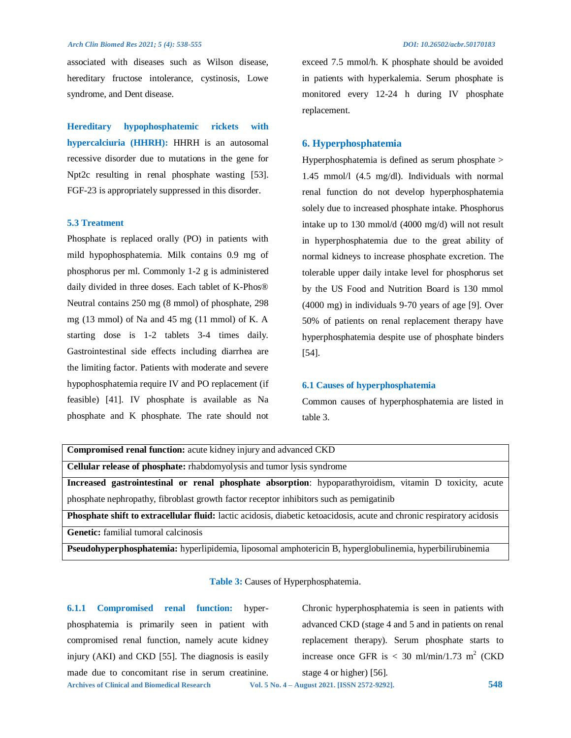associated with diseases such as Wilson disease, hereditary fructose intolerance, cystinosis, Lowe syndrome, and Dent disease.

**Hereditary hypophosphatemic rickets with hypercalciuria (HHRH):** HHRH is an autosomal recessive disorder due to mutations in the gene for Npt2c resulting in renal phosphate wasting [53]. FGF-23 is appropriately suppressed in this disorder.

#### **5.3 Treatment**

Phosphate is replaced orally (PO) in patients with mild hypophosphatemia. Milk contains 0.9 mg of phosphorus per ml. Commonly 1-2 g is administered daily divided in three doses. Each tablet of K-Phos® Neutral contains 250 mg (8 mmol) of phosphate, 298 mg (13 mmol) of Na and 45 mg (11 mmol) of K. A starting dose is 1-2 tablets 3-4 times daily. Gastrointestinal side effects including diarrhea are the limiting factor. Patients with moderate and severe hypophosphatemia require IV and PO replacement (if feasible) [41]. IV phosphate is available as Na phosphate and K phosphate. The rate should not

exceed 7.5 mmol/h. K phosphate should be avoided in patients with hyperkalemia. Serum phosphate is monitored every 12-24 h during IV phosphate replacement.

### **6. Hyperphosphatemia**

Hyperphosphatemia is defined as serum phosphate > 1.45 mmol/l (4.5 mg/dl). Individuals with normal renal function do not develop hyperphosphatemia solely due to increased phosphate intake. Phosphorus intake up to 130 mmol/d (4000 mg/d) will not result in hyperphosphatemia due to the great ability of normal kidneys to increase phosphate excretion. The tolerable upper daily intake level for phosphorus set by the US Food and Nutrition Board is 130 mmol (4000 mg) in individuals 9-70 years of age [9]. Over 50% of patients on renal replacement therapy have hyperphosphatemia despite use of phosphate binders [54].

#### **6.1 Causes of hyperphosphatemia**

Common causes of hyperphosphatemia are listed in table 3.

| <b>Compromised renal function:</b> acute kidney injury and advanced CKD                                                |  |  |
|------------------------------------------------------------------------------------------------------------------------|--|--|
| Cellular release of phosphate: rhabdomyolysis and tumor lysis syndrome                                                 |  |  |
| Increased gastrointestinal or renal phosphate absorption: hypoparathyroidism, vitamin D toxicity, acute                |  |  |
| phosphate nephropathy, fibroblast growth factor receptor inhibitors such as pemigatinib                                |  |  |
| Phosphate shift to extracellular fluid: lactic acidosis, diabetic ketoacidosis, acute and chronic respiratory acidosis |  |  |
| <b>Genetic:</b> familial tumoral calcinosis                                                                            |  |  |
| Pseudohyperphosphatemia: hyperlipidemia, liposomal amphotericin B, hyperglobulinemia, hyperbilirubinemia               |  |  |

#### **Table 3:** Causes of Hyperphosphatemia.

**Archives of Clinical and Biomedical Research Vol. 5 No. 4 – August 2021. [ISSN 2572-9292]. 548 6.1.1 Compromised renal function:** hyperphosphatemia is primarily seen in patient with compromised renal function, namely acute kidney injury (AKI) and CKD [55]. The diagnosis is easily made due to concomitant rise in serum creatinine.

Chronic hyperphosphatemia is seen in patients with advanced CKD (stage 4 and 5 and in patients on renal replacement therapy). Serum phosphate starts to increase once GFR is  $< 30$  ml/min/1.73 m<sup>2</sup> (CKD) stage 4 or higher) [56].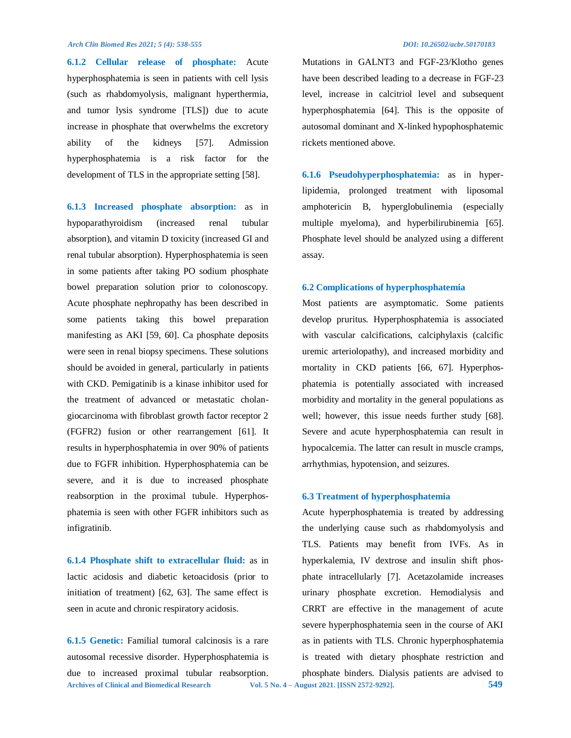**6.1.2 Cellular release of phosphate:** Acute hyperphosphatemia is seen in patients with cell lysis (such as rhabdomyolysis, malignant hyperthermia, and tumor lysis syndrome [TLS]) due to acute increase in phosphate that overwhelms the excretory ability of the kidneys [57]. Admission hyperphosphatemia is a risk factor for the development of TLS in the appropriate setting [58].

**6.1.3 Increased phosphate absorption:** as in hypoparathyroidism (increased renal tubular absorption), and vitamin D toxicity (increased GI and renal tubular absorption). Hyperphosphatemia is seen in some patients after taking PO sodium phosphate bowel preparation solution prior to colonoscopy. Acute phosphate nephropathy has been described in some patients taking this bowel preparation manifesting as AKI [59, 60]. Ca phosphate deposits were seen in renal biopsy specimens. These solutions should be avoided in general, particularly in patients with CKD. Pemigatinib is a kinase inhibitor used for the treatment of advanced or metastatic cholangiocarcinoma with fibroblast growth factor receptor 2 (FGFR2) fusion or other rearrangement [61]. It results in hyperphosphatemia in over 90% of patients due to FGFR inhibition. Hyperphosphatemia can be severe, and it is due to increased phosphate reabsorption in the proximal tubule. Hyperphosphatemia is seen with other FGFR inhibitors such as infigratinib.

**6.1.4 Phosphate shift to extracellular fluid:** as in lactic acidosis and diabetic ketoacidosis (prior to initiation of treatment) [62, 63]. The same effect is seen in acute and chronic respiratory acidosis.

**Archives of Clinical and Biomedical Research Vol. 5 No. 4 – August 2021. [ISSN 2572-9292]. 549 6.1.5 Genetic:** Familial tumoral calcinosis is a rare autosomal recessive disorder. Hyperphosphatemia is due to increased proximal tubular reabsorption.

Mutations in GALNT3 and FGF-23/Klotho genes have been described leading to a decrease in FGF-23 level, increase in calcitriol level and subsequent hyperphosphatemia [64]. This is the opposite of autosomal dominant and X-linked hypophosphatemic rickets mentioned above.

**6.1.6 Pseudohyperphosphatemia:** as in hyperlipidemia, prolonged treatment with liposomal amphotericin B, hyperglobulinemia (especially multiple myeloma), and hyperbilirubinemia [65]. Phosphate level should be analyzed using a different assay.

#### **6.2 Complications of hyperphosphatemia**

Most patients are asymptomatic. Some patients develop pruritus. Hyperphosphatemia is associated with vascular calcifications, calciphylaxis (calcific uremic arteriolopathy), and increased morbidity and mortality in CKD patients [66, 67]. Hyperphosphatemia is potentially associated with increased morbidity and mortality in the general populations as well; however, this issue needs further study [68]. Severe and acute hyperphosphatemia can result in hypocalcemia. The latter can result in muscle cramps, arrhythmias, hypotension, and seizures.

#### **6.3 Treatment of hyperphosphatemia**

Acute hyperphosphatemia is treated by addressing the underlying cause such as rhabdomyolysis and TLS. Patients may benefit from IVFs. As in hyperkalemia, IV dextrose and insulin shift phosphate intracellularly [7]. Acetazolamide increases urinary phosphate excretion. Hemodialysis and CRRT are effective in the management of acute severe hyperphosphatemia seen in the course of AKI as in patients with TLS. Chronic hyperphosphatemia is treated with dietary phosphate restriction and phosphate binders. Dialysis patients are advised to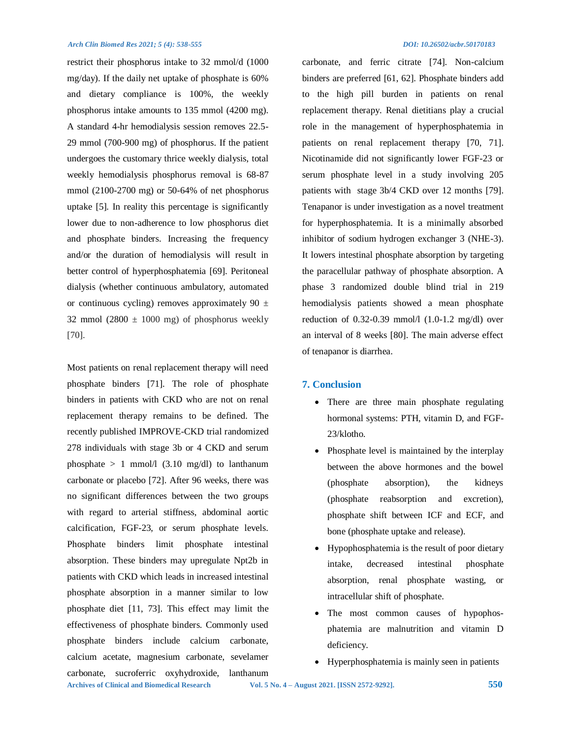restrict their phosphorus intake to 32 mmol/d (1000 mg/day). If the daily net uptake of phosphate is 60% and dietary compliance is 100%, the weekly phosphorus intake amounts to 135 mmol (4200 mg). A standard 4-hr hemodialysis session removes 22.5- 29 mmol (700-900 mg) of phosphorus. If the patient undergoes the customary thrice weekly dialysis, total weekly hemodialysis phosphorus removal is 68-87 mmol (2100-2700 mg) or 50-64% of net phosphorus uptake [5]. In reality this percentage is significantly lower due to non-adherence to low phosphorus diet and phosphate binders. Increasing the frequency and/or the duration of hemodialysis will result in better control of hyperphosphatemia [69]. Peritoneal dialysis (whether continuous ambulatory, automated or continuous cycling) removes approximately 90  $\pm$ 32 mmol (2800  $\pm$  1000 mg) of phosphorus weekly [70].

**Archives of Clinical and Biomedical Research Vol. 5 No. 4 – August 2021. [ISSN 2572-9292]. 550** Most patients on renal replacement therapy will need phosphate binders [71]. The role of phosphate binders in patients with CKD who are not on renal replacement therapy remains to be defined. The recently published IMPROVE-CKD trial randomized 278 individuals with stage 3b or 4 CKD and serum phosphate  $> 1$  mmol/l (3.10 mg/dl) to lanthanum carbonate or placebo [72]. After 96 weeks, there was no significant differences between the two groups with regard to arterial stiffness, abdominal aortic calcification, FGF-23, or serum phosphate levels. Phosphate binders limit phosphate intestinal absorption. These binders may upregulate Npt2b in patients with CKD which leads in increased intestinal phosphate absorption in a manner similar to low phosphate diet [11, 73]. This effect may limit the effectiveness of phosphate binders. Commonly used phosphate binders include calcium carbonate, calcium acetate, magnesium carbonate, sevelamer carbonate, sucroferric oxyhydroxide, lanthanum

carbonate, and ferric citrate [74]. Non-calcium binders are preferred [61, 62]. Phosphate binders add to the high pill burden in patients on renal replacement therapy. Renal dietitians play a crucial role in the management of hyperphosphatemia in patients on renal replacement therapy [70, 71]. Nicotinamide did not significantly lower FGF-23 or serum phosphate level in a study involving 205 patients with stage 3b/4 CKD over 12 months [79]. Tenapanor is under investigation as a novel treatment for hyperphosphatemia. It is a minimally absorbed inhibitor of sodium hydrogen exchanger 3 (NHE-3). It lowers intestinal phosphate absorption by targeting the paracellular pathway of phosphate absorption. A phase 3 randomized double blind trial in 219 hemodialysis patients showed a mean phosphate reduction of  $0.32$ -0.39 mmol/l  $(1.0$ -1.2 mg/dl) over an interval of 8 weeks [80]. The main adverse effect of tenapanor is diarrhea.

#### **7. Conclusion**

- There are three main phosphate regulating hormonal systems: PTH, vitamin D, and FGF-23/klotho.
- Phosphate level is maintained by the interplay between the above hormones and the bowel (phosphate absorption), the kidneys (phosphate reabsorption and excretion), phosphate shift between ICF and ECF, and bone (phosphate uptake and release).
- Hypophosphatemia is the result of poor dietary intake, decreased intestinal phosphate absorption, renal phosphate wasting, or intracellular shift of phosphate.
- The most common causes of hypophosphatemia are malnutrition and vitamin D deficiency.
- Hyperphosphatemia is mainly seen in patients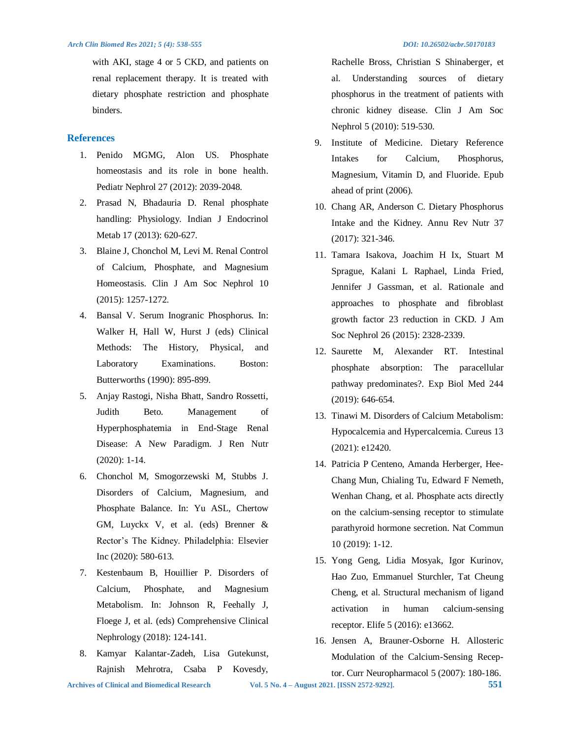with AKI, stage 4 or 5 CKD, and patients on renal replacement therapy. It is treated with dietary phosphate restriction and phosphate binders.

## **References**

- 1. Penido MGMG, Alon US. Phosphate homeostasis and its role in bone health. Pediatr Nephrol 27 (2012): 2039-2048.
- 2. Prasad N, Bhadauria D. Renal phosphate handling: Physiology. Indian J Endocrinol Metab 17 (2013): 620-627.
- 3. Blaine J, Chonchol M, Levi M. Renal Control of Calcium, Phosphate, and Magnesium Homeostasis. Clin J Am Soc Nephrol 10 (2015): 1257-1272.
- 4. Bansal V. Serum Inogranic Phosphorus. In: Walker H, Hall W, Hurst J (eds) Clinical Methods: The History, Physical, and Laboratory Examinations. Boston: Butterworths (1990): 895-899.
- 5. Anjay Rastogi, Nisha Bhatt, Sandro Rossetti, Judith Beto. Management of Hyperphosphatemia in End-Stage Renal Disease: A New Paradigm. J Ren Nutr (2020): 1-14.
- 6. Chonchol M, Smogorzewski M, Stubbs J. Disorders of Calcium, Magnesium, and Phosphate Balance. In: Yu ASL, Chertow GM, Luyckx V, et al. (eds) Brenner & Rector's The Kidney. Philadelphia: Elsevier Inc (2020): 580-613.
- 7. Kestenbaum B, Houillier P. Disorders of Calcium, Phosphate, and Magnesium Metabolism. In: Johnson R, Feehally J, Floege J, et al. (eds) Comprehensive Clinical Nephrology (2018): 124-141.
- 8. Kamyar Kalantar-Zadeh, Lisa Gutekunst, Rajnish Mehrotra, Csaba P Kovesdy,

Rachelle Bross, Christian S Shinaberger, et al. Understanding sources of dietary phosphorus in the treatment of patients with chronic kidney disease. Clin J Am Soc Nephrol 5 (2010): 519-530.

- 9. Institute of Medicine. Dietary Reference Intakes for Calcium, Phosphorus, Magnesium, Vitamin D, and Fluoride. Epub ahead of print (2006).
- 10. Chang AR, Anderson C. Dietary Phosphorus Intake and the Kidney. Annu Rev Nutr 37 (2017): 321-346.
- 11. Tamara Isakova, Joachim H Ix, Stuart M Sprague, Kalani L Raphael, Linda Fried, Jennifer J Gassman, et al. Rationale and approaches to phosphate and fibroblast growth factor 23 reduction in CKD. J Am Soc Nephrol 26 (2015): 2328-2339.
- 12. Saurette M, Alexander RT. Intestinal phosphate absorption: The paracellular pathway predominates?. Exp Biol Med 244 (2019): 646-654.
- 13. Tinawi M. Disorders of Calcium Metabolism: Hypocalcemia and Hypercalcemia. Cureus 13 (2021): e12420.
- 14. Patricia P Centeno, Amanda Herberger, Hee-Chang Mun, Chialing Tu, Edward F Nemeth, Wenhan Chang, et al. Phosphate acts directly on the calcium-sensing receptor to stimulate parathyroid hormone secretion. Nat Commun 10 (2019): 1-12.
- 15. Yong Geng, Lidia Mosyak, Igor Kurinov, Hao Zuo, Emmanuel Sturchler, Tat Cheung Cheng, et al. Structural mechanism of ligand activation in human calcium-sensing receptor. Elife 5 (2016): e13662.
- 16. Jensen A, Brauner-Osborne H. Allosteric Modulation of the Calcium-Sensing Receptor. Curr Neuropharmacol 5 (2007): 180-186.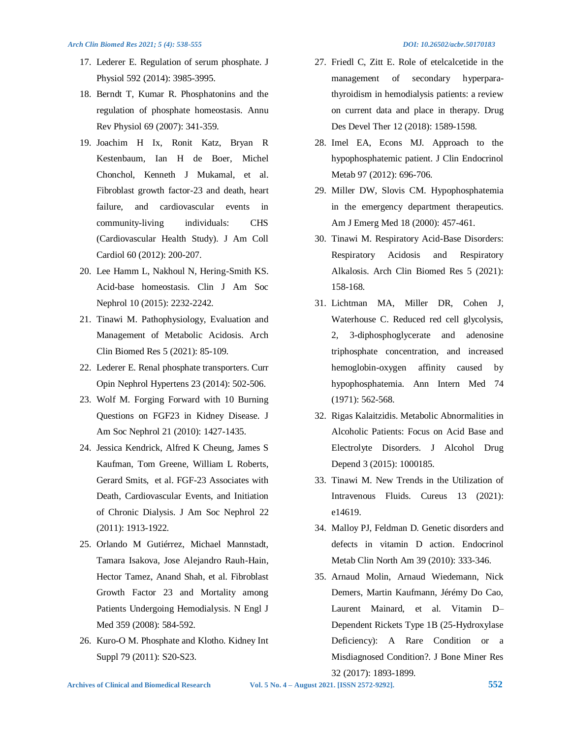- 17. Lederer E. Regulation of serum phosphate. J Physiol 592 (2014): 3985-3995.
- 18. Berndt T, Kumar R. Phosphatonins and the regulation of phosphate homeostasis. Annu Rev Physiol 69 (2007): 341-359.
- 19. Joachim H Ix, Ronit Katz, Bryan R Kestenbaum, Ian H de Boer, Michel Chonchol, Kenneth J Mukamal, et al. Fibroblast growth factor-23 and death, heart failure, and cardiovascular events in community-living individuals: CHS (Cardiovascular Health Study). J Am Coll Cardiol 60 (2012): 200-207.
- 20. Lee Hamm L, Nakhoul N, Hering-Smith KS. Acid-base homeostasis. Clin J Am Soc Nephrol 10 (2015): 2232-2242.
- 21. Tinawi M. Pathophysiology, Evaluation and Management of Metabolic Acidosis. Arch Clin Biomed Res 5 (2021): 85-109.
- 22. Lederer E. Renal phosphate transporters. Curr Opin Nephrol Hypertens 23 (2014): 502-506.
- 23. Wolf M. Forging Forward with 10 Burning Questions on FGF23 in Kidney Disease. J Am Soc Nephrol 21 (2010): 1427-1435.
- 24. Jessica Kendrick, Alfred K Cheung, James S Kaufman, Tom Greene, William L Roberts, Gerard Smits, et al. FGF-23 Associates with Death, Cardiovascular Events, and Initiation of Chronic Dialysis. J Am Soc Nephrol 22 (2011): 1913-1922.
- 25. Orlando M Gutiérrez, Michael Mannstadt, Tamara Isakova, Jose Alejandro Rauh-Hain, Hector Tamez, Anand Shah, et al. Fibroblast Growth Factor 23 and Mortality among Patients Undergoing Hemodialysis. N Engl J Med 359 (2008): 584-592.
- 26. Kuro-O M. Phosphate and Klotho. Kidney Int Suppl 79 (2011): S20-S23.
- 27. Friedl C, Zitt E. Role of etelcalcetide in the management of secondary hyperparathyroidism in hemodialysis patients: a review on current data and place in therapy. Drug Des Devel Ther 12 (2018): 1589-1598.
- 28. Imel EA, Econs MJ. Approach to the hypophosphatemic patient. J Clin Endocrinol Metab 97 (2012): 696-706.
- 29. Miller DW, Slovis CM. Hypophosphatemia in the emergency department therapeutics. Am J Emerg Med 18 (2000): 457-461.
- 30. Tinawi M. Respiratory Acid-Base Disorders: Respiratory Acidosis and Respiratory Alkalosis. Arch Clin Biomed Res 5 (2021): 158-168.
- 31. Lichtman MA, Miller DR, Cohen J, Waterhouse C. Reduced red cell glycolysis, 2, 3-diphosphoglycerate and adenosine triphosphate concentration, and increased hemoglobin-oxygen affinity caused by hypophosphatemia. Ann Intern Med 74 (1971): 562-568.
- 32. Rigas Kalaitzidis. Metabolic Abnormalities in Alcoholic Patients: Focus on Acid Base and Electrolyte Disorders. J Alcohol Drug Depend 3 (2015): 1000185.
- 33. Tinawi M. New Trends in the Utilization of Intravenous Fluids. Cureus 13 (2021): e14619.
- 34. Malloy PJ, Feldman D. Genetic disorders and defects in vitamin D action. Endocrinol Metab Clin North Am 39 (2010): 333-346.
- 35. Arnaud Molin, Arnaud Wiedemann, Nick Demers, Martin Kaufmann, Jérémy Do Cao, Laurent Mainard, et al. Vitamin D– Dependent Rickets Type 1B (25-Hydroxylase Deficiency): A Rare Condition or a Misdiagnosed Condition?. J Bone Miner Res 32 (2017): 1893-1899.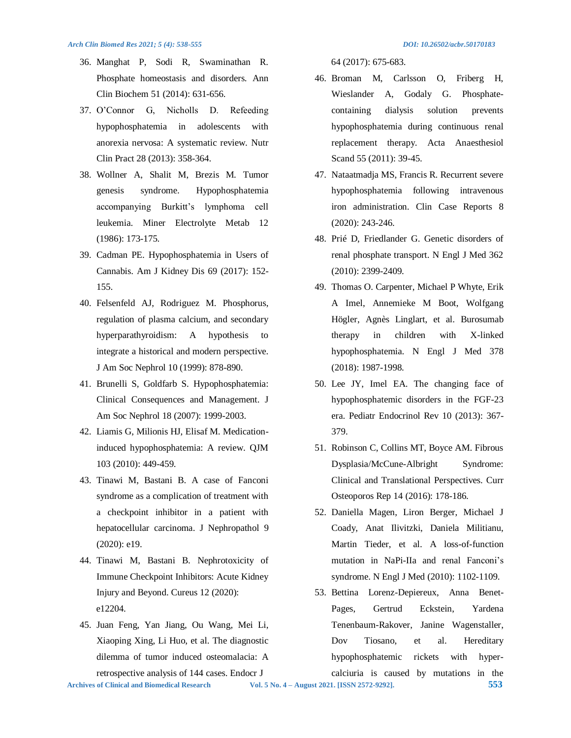- 36. Manghat P, Sodi R, Swaminathan R. Phosphate homeostasis and disorders. Ann Clin Biochem 51 (2014): 631-656.
- 37. O'Connor G, Nicholls D. Refeeding hypophosphatemia in adolescents with anorexia nervosa: A systematic review. Nutr Clin Pract 28 (2013): 358-364.
- 38. Wollner A, Shalit M, Brezis M. Tumor genesis syndrome. Hypophosphatemia accompanying Burkitt's lymphoma cell leukemia. Miner Electrolyte Metab 12 (1986): 173-175.
- 39. Cadman PE. Hypophosphatemia in Users of Cannabis. Am J Kidney Dis 69 (2017): 152- 155.
- 40. Felsenfeld AJ, Rodriguez M. Phosphorus, regulation of plasma calcium, and secondary hyperparathyroidism: A hypothesis to integrate a historical and modern perspective. J Am Soc Nephrol 10 (1999): 878-890.
- 41. Brunelli S, Goldfarb S. Hypophosphatemia: Clinical Consequences and Management. J Am Soc Nephrol 18 (2007): 1999-2003.
- 42. Liamis G, Milionis HJ, Elisaf M. Medicationinduced hypophosphatemia: A review. QJM 103 (2010): 449-459.
- 43. Tinawi M, Bastani B. A case of Fanconi syndrome as a complication of treatment with a checkpoint inhibitor in a patient with hepatocellular carcinoma. J Nephropathol 9 (2020): e19.
- 44. Tinawi M, Bastani B. Nephrotoxicity of Immune Checkpoint Inhibitors: Acute Kidney Injury and Beyond. Cureus 12 (2020): e12204.
- 45. Juan Feng, Yan Jiang, Ou Wang, Mei Li, Xiaoping Xing, Li Huo, et al. The diagnostic dilemma of tumor induced osteomalacia: A retrospective analysis of 144 cases. Endocr J

64 (2017): 675-683.

- 46. Broman M, Carlsson O, Friberg H, Wieslander A, Godaly G. Phosphatecontaining dialysis solution prevents hypophosphatemia during continuous renal replacement therapy. Acta Anaesthesiol Scand 55 (2011): 39-45.
- 47. Nataatmadja MS, Francis R. Recurrent severe hypophosphatemia following intravenous iron administration. Clin Case Reports 8 (2020): 243-246.
- 48. Prié D, Friedlander G. Genetic disorders of renal phosphate transport. N Engl J Med 362 (2010): 2399-2409.
- 49. Thomas O. Carpenter, Michael P Whyte, Erik A Imel, Annemieke M Boot, Wolfgang Högler, Agnès Linglart, et al. Burosumab therapy in children with X-linked hypophosphatemia. N Engl J Med 378 (2018): 1987-1998.
- 50. Lee JY, Imel EA. The changing face of hypophosphatemic disorders in the FGF-23 era. Pediatr Endocrinol Rev 10 (2013): 367- 379.
- 51. Robinson C, Collins MT, Boyce AM. Fibrous Dysplasia/McCune-Albright Syndrome: Clinical and Translational Perspectives. Curr Osteoporos Rep 14 (2016): 178-186.
- 52. Daniella Magen, Liron Berger, Michael J Coady, Anat Ilivitzki, Daniela Militianu, Martin Tieder, et al. A loss-of-function mutation in NaPi-IIa and renal Fanconi's syndrome. N Engl J Med (2010): 1102-1109.
- 53. Bettina Lorenz-Depiereux, Anna Benet-Pages, Gertrud Eckstein, Yardena Tenenbaum-Rakover, Janine Wagenstaller, Dov Tiosano, et al. Hereditary hypophosphatemic rickets with hypercalciuria is caused by mutations in the

**Archives of Clinical and Biomedical Research Vol. 5 No. 4 – August 2021. [ISSN 2572-9292]. 553**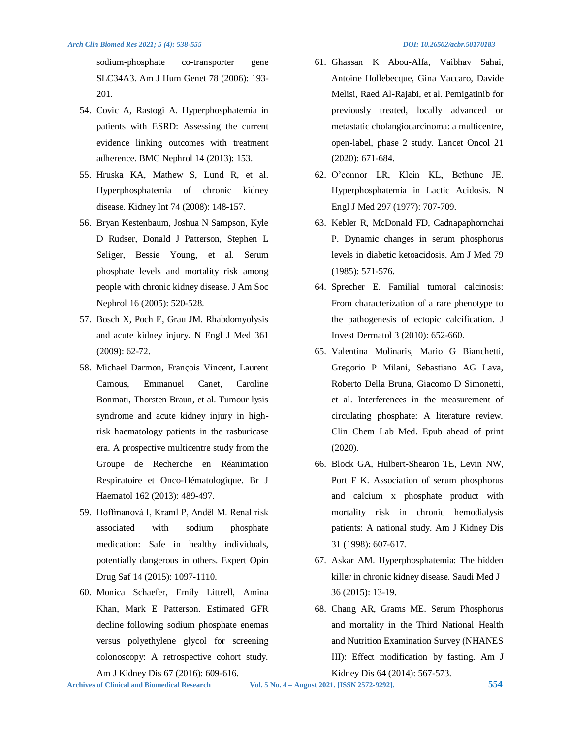sodium-phosphate co-transporter gene SLC34A3. Am J Hum Genet 78 (2006): 193- 201.

- 54. Covic A, Rastogi A. Hyperphosphatemia in patients with ESRD: Assessing the current evidence linking outcomes with treatment adherence. BMC Nephrol 14 (2013): 153.
- 55. Hruska KA, Mathew S, Lund R, et al. Hyperphosphatemia of chronic kidney disease. Kidney Int 74 (2008): 148-157.
- 56. Bryan Kestenbaum, Joshua N Sampson, Kyle D Rudser, Donald J Patterson, Stephen L Seliger, Bessie Young, et al. Serum phosphate levels and mortality risk among people with chronic kidney disease. J Am Soc Nephrol 16 (2005): 520-528.
- 57. Bosch X, Poch E, Grau JM. Rhabdomyolysis and acute kidney injury. N Engl J Med 361 (2009): 62-72.
- 58. Michael Darmon, François Vincent, Laurent Camous, Emmanuel Canet, Caroline Bonmati, Thorsten Braun, et al. Tumour lysis syndrome and acute kidney injury in highrisk haematology patients in the rasburicase era. A prospective multicentre study from the Groupe de Recherche en Réanimation Respiratoire et Onco-Hématologique. Br J Haematol 162 (2013): 489-497.
- 59. Hoffmanová I, Kraml P, Anděl M. Renal risk associated with sodium phosphate medication: Safe in healthy individuals, potentially dangerous in others. Expert Opin Drug Saf 14 (2015): 1097-1110.
- 60. Monica Schaefer, Emily Littrell, Amina Khan, Mark E Patterson. Estimated GFR decline following sodium phosphate enemas versus polyethylene glycol for screening colonoscopy: A retrospective cohort study.

Am J Kidney Dis 67 (2016): 609-616.

- 61. Ghassan K Abou-Alfa, Vaibhav Sahai, Antoine Hollebecque, Gina Vaccaro, Davide Melisi, Raed Al-Rajabi, et al. Pemigatinib for previously treated, locally advanced or metastatic cholangiocarcinoma: a multicentre, open-label, phase 2 study. Lancet Oncol 21 (2020): 671-684.
- 62. O'connor LR, Klein KL, Bethune JE. Hyperphosphatemia in Lactic Acidosis. N Engl J Med 297 (1977): 707-709.
- 63. Kebler R, McDonald FD, Cadnapaphornchai P. Dynamic changes in serum phosphorus levels in diabetic ketoacidosis. Am J Med 79 (1985): 571-576.
- 64. Sprecher E. Familial tumoral calcinosis: From characterization of a rare phenotype to the pathogenesis of ectopic calcification. J Invest Dermatol 3 (2010): 652-660.
- 65. Valentina Molinaris, Mario G Bianchetti, Gregorio P Milani, Sebastiano AG Lava, Roberto Della Bruna, Giacomo D Simonetti, et al. Interferences in the measurement of circulating phosphate: A literature review. Clin Chem Lab Med. Epub ahead of print (2020).
- 66. Block GA, Hulbert-Shearon TE, Levin NW, Port F K. Association of serum phosphorus and calcium x phosphate product with mortality risk in chronic hemodialysis patients: A national study. Am J Kidney Dis 31 (1998): 607-617.
- 67. Askar AM. Hyperphosphatemia: The hidden killer in chronic kidney disease. Saudi Med J 36 (2015): 13-19.
- 68. Chang AR, Grams ME. Serum Phosphorus and mortality in the Third National Health and Nutrition Examination Survey (NHANES III): Effect modification by fasting. Am J Kidney Dis 64 (2014): 567-573.

**Archives of Clinical and Biomedical Research Vol. 5 No. 4 – August 2021. [ISSN 2572-9292]. 554**